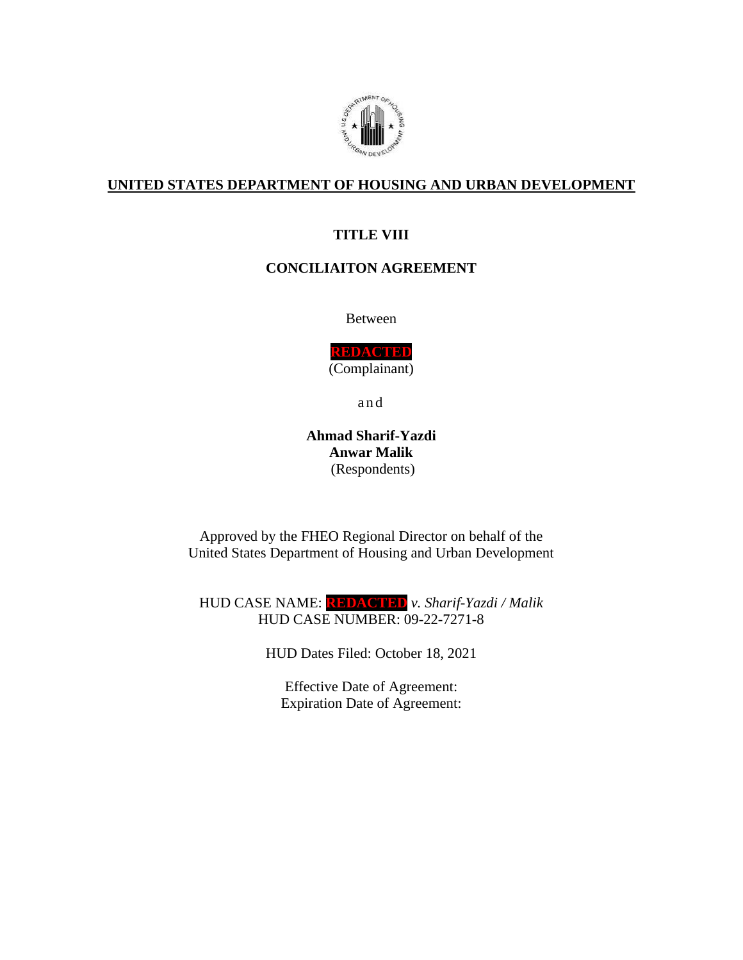

### **UNITED STATES DEPARTMENT OF HOUSING AND URBAN DEVELOPMENT**

### **TITLE VIII**

### **CONCILIAITON AGREEMENT**

Between

**REDACTED** (Complainant)

a n d

**Ahmad Sharif-Yazdi Anwar Malik** (Respondents)

Approved by the FHEO Regional Director on behalf of the United States Department of Housing and Urban Development

HUD CASE NAME: **REDACTED** *v. Sharif-Yazdi / Malik* HUD CASE NUMBER: 09-22-7271-8

HUD Dates Filed: October 18, 2021

Effective Date of Agreement: Expiration Date of Agreement: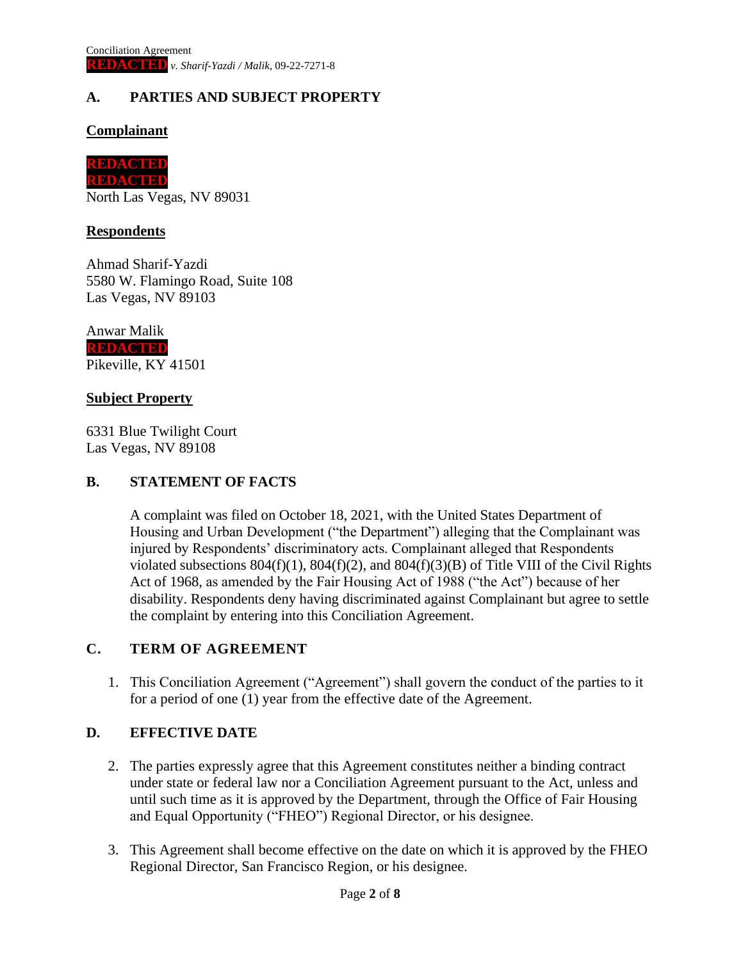# **A. PARTIES AND SUBJECT PROPERTY**

### **Complainant**



North Las Vegas, NV 89031

#### **Respondents**

Ahmad Sharif-Yazdi 5580 W. Flamingo Road, Suite 108 Las Vegas, NV 89103

Anwar Malik **REDACTED** Pikeville, KY 41501

#### **Subject Property**

6331 Blue Twilight Court Las Vegas, NV 89108

#### **B. STATEMENT OF FACTS**

A complaint was filed on October 18, 2021, with the United States Department of Housing and Urban Development ("the Department") alleging that the Complainant was injured by Respondents' discriminatory acts. Complainant alleged that Respondents violated subsections  $804(f)(1)$ ,  $804(f)(2)$ , and  $804(f)(3)(B)$  of Title VIII of the Civil Rights Act of 1968, as amended by the Fair Housing Act of 1988 ("the Act") because of her disability. Respondents deny having discriminated against Complainant but agree to settle the complaint by entering into this Conciliation Agreement.

#### **C. TERM OF AGREEMENT**

1. This Conciliation Agreement ("Agreement") shall govern the conduct of the parties to it for a period of one (1) year from the effective date of the Agreement.

#### **D. EFFECTIVE DATE**

- 2. The parties expressly agree that this Agreement constitutes neither a binding contract under state or federal law nor a Conciliation Agreement pursuant to the Act, unless and until such time as it is approved by the Department, through the Office of Fair Housing and Equal Opportunity ("FHEO") Regional Director, or his designee.
- 3. This Agreement shall become effective on the date on which it is approved by the FHEO Regional Director, San Francisco Region, or his designee.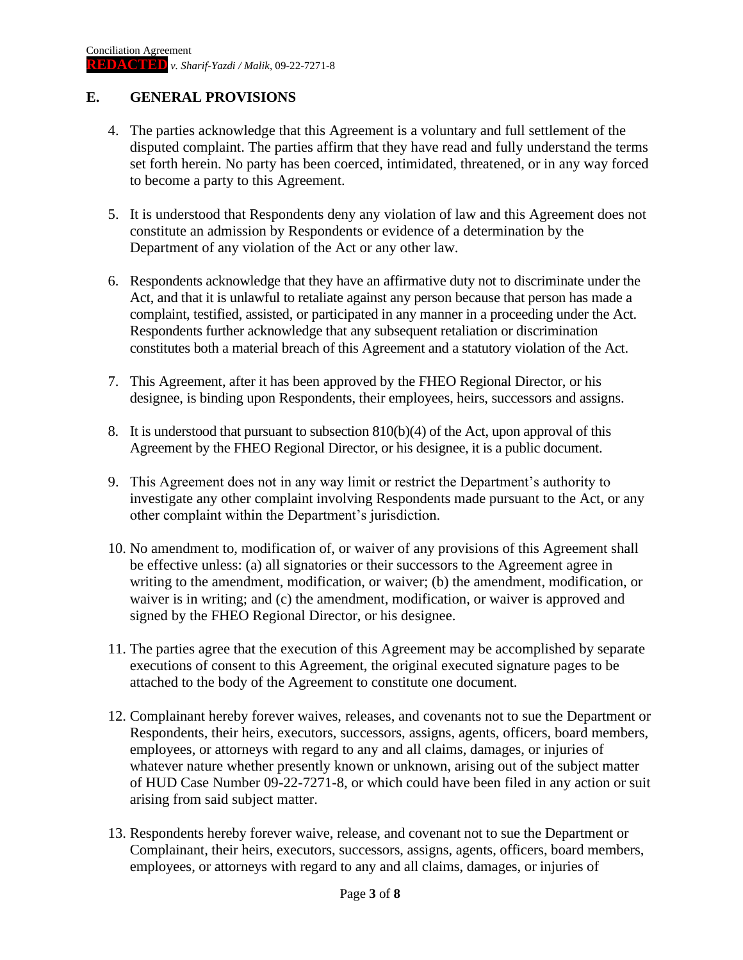## **E. GENERAL PROVISIONS**

- 4. The parties acknowledge that this Agreement is a voluntary and full settlement of the disputed complaint. The parties affirm that they have read and fully understand the terms set forth herein. No party has been coerced, intimidated, threatened, or in any way forced to become a party to this Agreement.
- 5. It is understood that Respondents deny any violation of law and this Agreement does not constitute an admission by Respondents or evidence of a determination by the Department of any violation of the Act or any other law.
- 6. Respondents acknowledge that they have an affirmative duty not to discriminate under the Act, and that it is unlawful to retaliate against any person because that person has made a complaint, testified, assisted, or participated in any manner in a proceeding under the Act. Respondents further acknowledge that any subsequent retaliation or discrimination constitutes both a material breach of this Agreement and a statutory violation of the Act.
- 7. This Agreement, after it has been approved by the FHEO Regional Director, or his designee, is binding upon Respondents, their employees, heirs, successors and assigns.
- 8. It is understood that pursuant to subsection 810(b)(4) of the Act, upon approval of this Agreement by the FHEO Regional Director, or his designee, it is a public document.
- 9. This Agreement does not in any way limit or restrict the Department's authority to investigate any other complaint involving Respondents made pursuant to the Act, or any other complaint within the Department's jurisdiction.
- 10. No amendment to, modification of, or waiver of any provisions of this Agreement shall be effective unless: (a) all signatories or their successors to the Agreement agree in writing to the amendment, modification, or waiver; (b) the amendment, modification, or waiver is in writing; and (c) the amendment, modification, or waiver is approved and signed by the FHEO Regional Director, or his designee.
- 11. The parties agree that the execution of this Agreement may be accomplished by separate executions of consent to this Agreement, the original executed signature pages to be attached to the body of the Agreement to constitute one document.
- 12. Complainant hereby forever waives, releases, and covenants not to sue the Department or Respondents, their heirs, executors, successors, assigns, agents, officers, board members, employees, or attorneys with regard to any and all claims, damages, or injuries of whatever nature whether presently known or unknown, arising out of the subject matter of HUD Case Number 09-22-7271-8, or which could have been filed in any action or suit arising from said subject matter.
- 13. Respondents hereby forever waive, release, and covenant not to sue the Department or Complainant, their heirs, executors, successors, assigns, agents, officers, board members, employees, or attorneys with regard to any and all claims, damages, or injuries of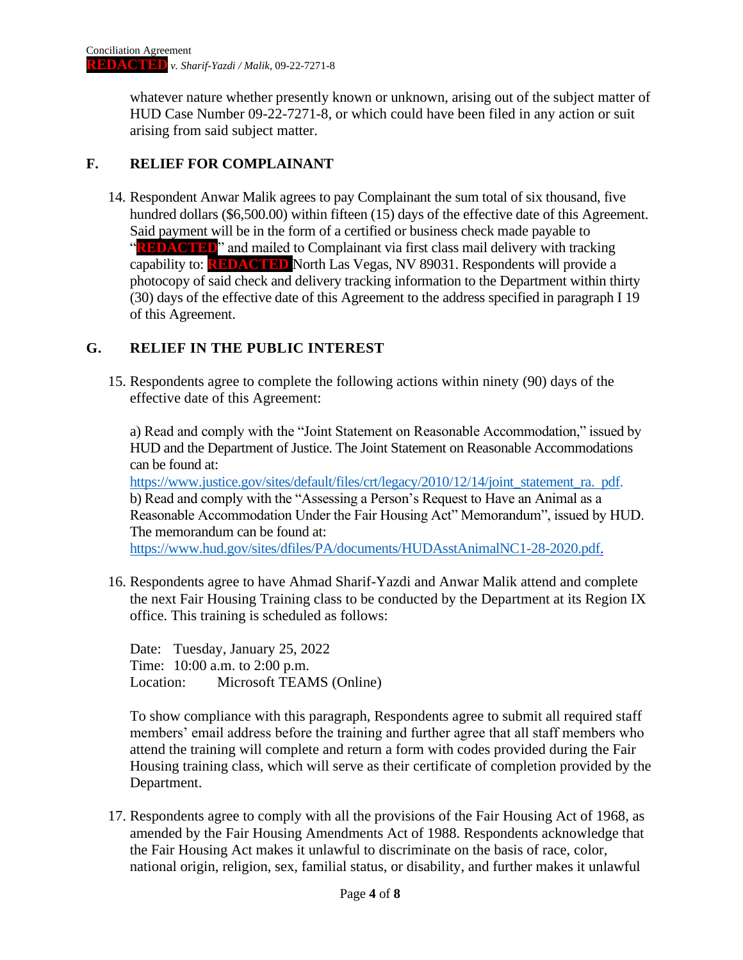whatever nature whether presently known or unknown, arising out of the subject matter of HUD Case Number 09-22-7271-8, or which could have been filed in any action or suit arising from said subject matter.

### **F. RELIEF FOR COMPLAINANT**

14. Respondent Anwar Malik agrees to pay Complainant the sum total of six thousand, five hundred dollars (\$6,500.00) within fifteen (15) days of the effective date of this Agreement. Said payment will be in the form of a certified or business check made payable to "**REDACTED**" and mailed to Complainant via first class mail delivery with tracking capability to: **REDACTED** North Las Vegas, NV 89031. Respondents will provide a photocopy of said check and delivery tracking information to the Department within thirty (30) days of the effective date of this Agreement to the address specified in paragraph I 19 of this Agreement.

## **G. RELIEF IN THE PUBLIC INTEREST**

15. Respondents agree to complete the following actions within ninety (90) days of the effective date of this Agreement:

a) Read and comply with the "Joint Statement on Reasonable Accommodation," issued by HUD and the Department of Justice. The Joint Statement on Reasonable Accommodations can be found at:

[https://www.justice.gov/sites/default/files/crt/legacy/2010/12/14/joint\\_statement\\_ra.](https://www.justice.gov/sites/default/files/crt/legacy/2010/12/14/joint_statement_ra) pdf. b) Read and comply with the "Assessing a Person's Request to Have an Animal as a Reasonable Accommodation Under the Fair Housing Act" Memorandum", issued by HUD. The memorandum can be found at:

[https://www.hud.gov/sites/dfiles/PA/documents/HUDAsstAnimalNC1-28-2020.pdf.](https://www.hud.gov/sites/dfiles/PA/documents/HUDAsstAnimalNC1-28-2020.pdf)

16. Respondents agree to have Ahmad Sharif-Yazdi and Anwar Malik attend and complete the next Fair Housing Training class to be conducted by the Department at its Region IX office. This training is scheduled as follows:

Date: Tuesday, January 25, 2022 Time: 10:00 a.m. to 2:00 p.m. Location: Microsoft TEAMS (Online)

To show compliance with this paragraph, Respondents agree to submit all required staff members' email address before the training and further agree that all staff members who attend the training will complete and return a form with codes provided during the Fair Housing training class, which will serve as their certificate of completion provided by the Department.

17. Respondents agree to comply with all the provisions of the Fair Housing Act of 1968, as amended by the Fair Housing Amendments Act of 1988. Respondents acknowledge that the Fair Housing Act makes it unlawful to discriminate on the basis of race, color, national origin, religion, sex, familial status, or disability, and further makes it unlawful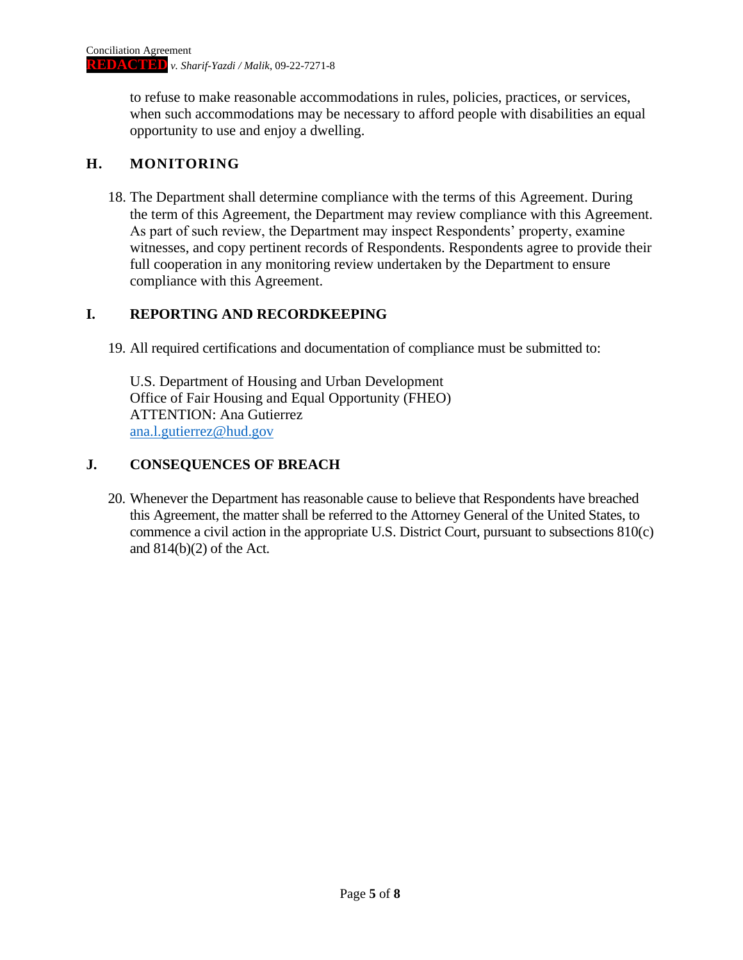to refuse to make reasonable accommodations in rules, policies, practices, or services, when such accommodations may be necessary to afford people with disabilities an equal opportunity to use and enjoy a dwelling.

## **H. MONITORING**

18. The Department shall determine compliance with the terms of this Agreement. During the term of this Agreement, the Department may review compliance with this Agreement. As part of such review, the Department may inspect Respondents' property, examine witnesses, and copy pertinent records of Respondents. Respondents agree to provide their full cooperation in any monitoring review undertaken by the Department to ensure compliance with this Agreement.

## **I. REPORTING AND RECORDKEEPING**

19. All required certifications and documentation of compliance must be submitted to:

U.S. Department of Housing and Urban Development Office of Fair Housing and Equal Opportunity (FHEO) ATTENTION: Ana Gutierrez [ana.l.gutierrez@hud.gov](mailto:ana.l.gutierrez@hud.gov)

## **J. CONSEQUENCES OF BREACH**

20. Whenever the Department has reasonable cause to believe that Respondents have breached this Agreement, the matter shall be referred to the Attorney General of the United States, to commence a civil action in the appropriate U.S. District Court, pursuant to subsections 810(c) and 814(b)(2) of the Act.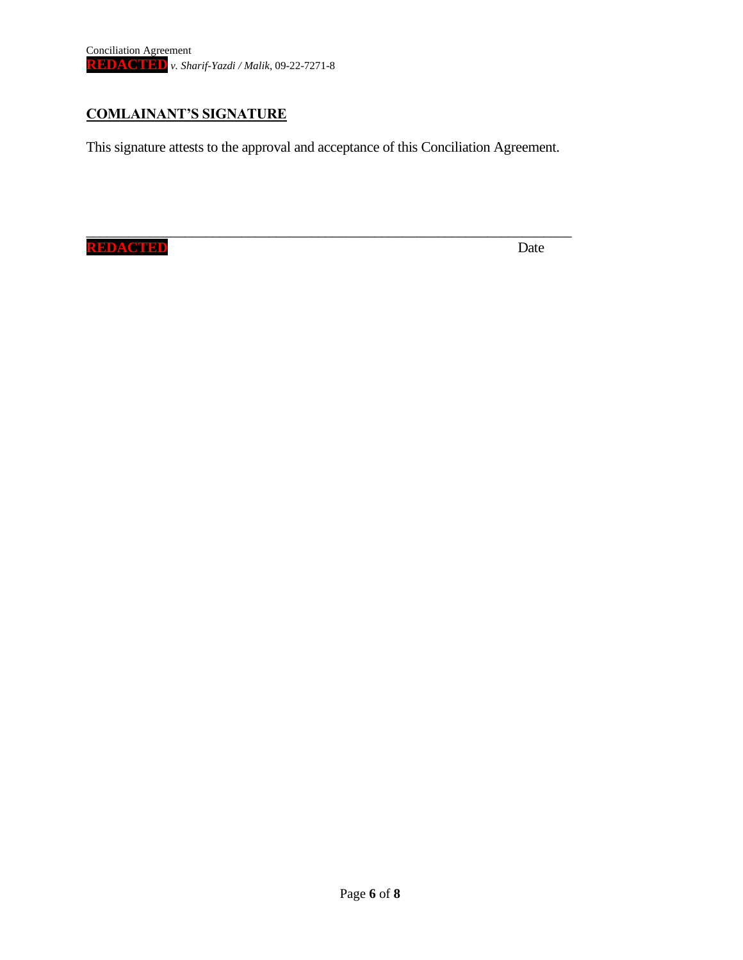## **COMLAINANT'S SIGNATURE**

This signature attests to the approval and acceptance of this Conciliation Agreement.

\_\_\_\_\_\_\_\_\_\_\_\_\_\_\_\_\_\_\_\_\_\_\_\_\_\_\_\_\_\_\_\_\_\_\_\_\_\_\_\_\_\_\_\_\_\_\_\_\_\_\_\_\_\_\_\_\_\_\_\_\_\_\_\_\_\_\_\_\_

**REDACTED** Date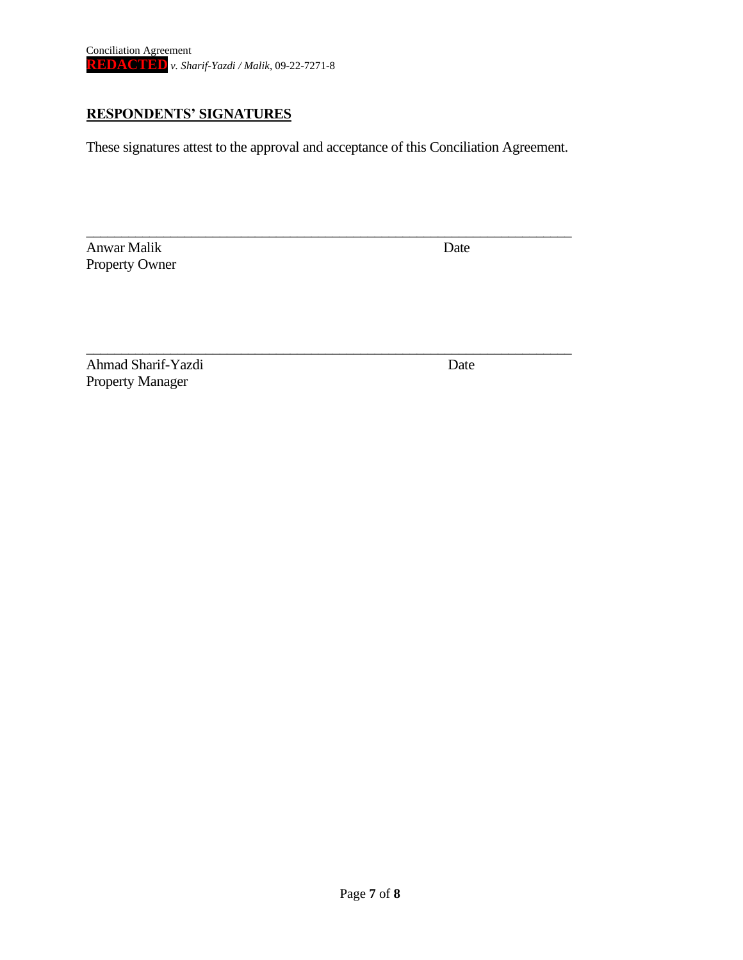## **RESPONDENTS' SIGNATURES**

These signatures attest to the approval and acceptance of this Conciliation Agreement.

\_\_\_\_\_\_\_\_\_\_\_\_\_\_\_\_\_\_\_\_\_\_\_\_\_\_\_\_\_\_\_\_\_\_\_\_\_\_\_\_\_\_\_\_\_\_\_\_\_\_\_\_\_\_\_\_\_\_\_\_\_\_\_\_\_\_\_\_\_

\_\_\_\_\_\_\_\_\_\_\_\_\_\_\_\_\_\_\_\_\_\_\_\_\_\_\_\_\_\_\_\_\_\_\_\_\_\_\_\_\_\_\_\_\_\_\_\_\_\_\_\_\_\_\_\_\_\_\_\_\_\_\_\_\_\_\_\_\_

Anwar Malik Date Property Owner

Ahmad Sharif-Yazdi Date Property Manager